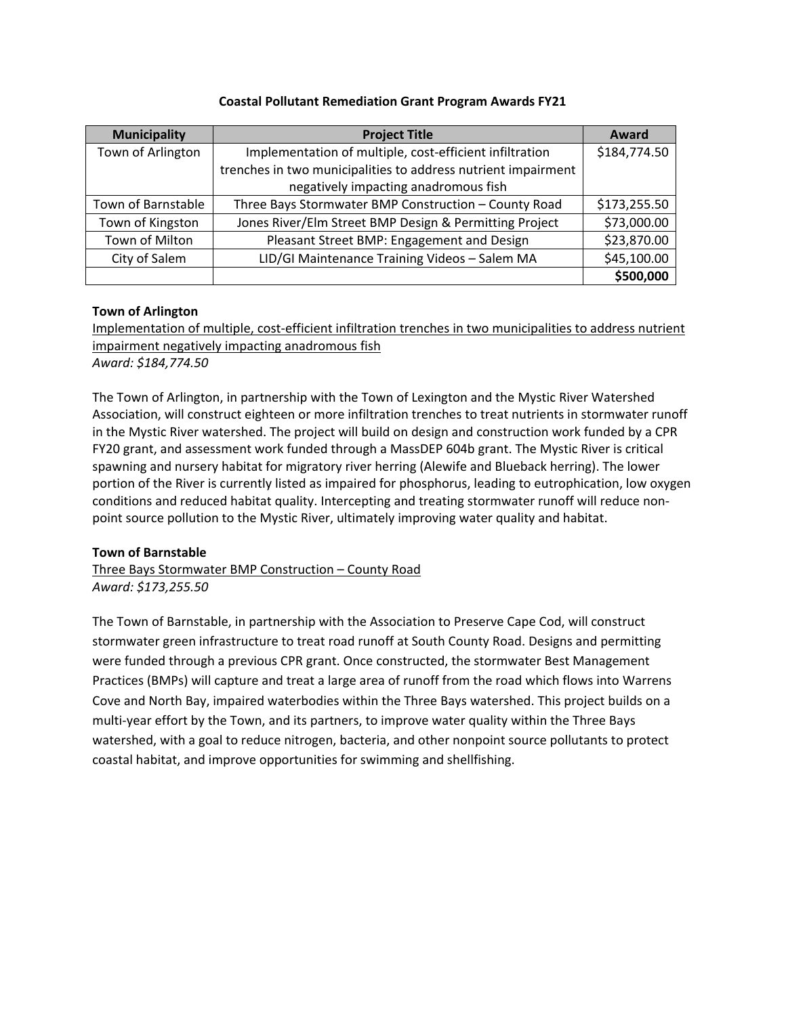| <b>Municipality</b> | <b>Project Title</b>                                          | Award        |
|---------------------|---------------------------------------------------------------|--------------|
| Town of Arlington   | Implementation of multiple, cost-efficient infiltration       | \$184,774.50 |
|                     | trenches in two municipalities to address nutrient impairment |              |
|                     | negatively impacting anadromous fish                          |              |
| Town of Barnstable  | Three Bays Stormwater BMP Construction - County Road          | \$173,255.50 |
| Town of Kingston    | Jones River/Elm Street BMP Design & Permitting Project        | \$73,000.00  |
| Town of Milton      | Pleasant Street BMP: Engagement and Design                    | \$23,870.00  |
| City of Salem       | LID/GI Maintenance Training Videos - Salem MA                 | \$45,100.00  |
|                     |                                                               | \$500,000    |

## **Coastal Pollutant Remediation Grant Program Awards FY21**

## **Town of Arlington**

Implementation of multiple, cost-efficient infiltration trenches in two municipalities to address nutrient impairment negatively impacting anadromous fish *Award: \$184,774.50*

The Town of Arlington, in partnership with the Town of Lexington and the Mystic River Watershed Association, will construct eighteen or more infiltration trenches to treat nutrients in stormwater runoff in the Mystic River watershed. The project will build on design and construction work funded by a CPR FY20 grant, and assessment work funded through a MassDEP 604b grant. The Mystic River is critical spawning and nursery habitat for migratory river herring (Alewife and Blueback herring). The lower portion of the River is currently listed as impaired for phosphorus, leading to eutrophication, low oxygen conditions and reduced habitat quality. Intercepting and treating stormwater runoff will reduce nonpoint source pollution to the Mystic River, ultimately improving water quality and habitat.

# **Town of Barnstable**

Three Bays Stormwater BMP Construction – County Road *Award: \$173,255.50*

The Town of Barnstable, in partnership with the Association to Preserve Cape Cod, will construct stormwater green infrastructure to treat road runoff at South County Road. Designs and permitting were funded through a previous CPR grant. Once constructed, the stormwater Best Management Practices (BMPs) will capture and treat a large area of runoff from the road which flows into Warrens Cove and North Bay, impaired waterbodies within the Three Bays watershed. This project builds on a multi-year effort by the Town, and its partners, to improve water quality within the Three Bays watershed, with a goal to reduce nitrogen, bacteria, and other nonpoint source pollutants to protect coastal habitat, and improve opportunities for swimming and shellfishing.